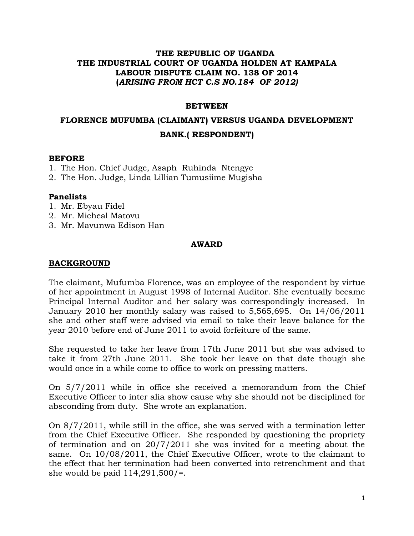#### **THE REPUBLIC OF UGANDA THE INDUSTRIAL COURT OF UGANDA HOLDEN AT KAMPALA LABOUR DISPUTE CLAIM NO. 138 OF 2014 (***ARISING FROM HCT C.S NO.184 OF 2012)*

#### **BETWEEN**

# **FLORENCE MUFUMBA (CLAIMANT) VERSUS UGANDA DEVELOPMENT BANK.( RESPONDENT)**

#### **BEFORE**

- 1. The Hon. Chief Judge, Asaph Ruhinda Ntengye
- 2. The Hon. Judge, Linda Lillian Tumusiime Mugisha

#### **Panelists**

- 1. Mr. Ebyau Fidel
- 2. Mr. Micheal Matovu
- 3. Mr. Mavunwa Edison Han

#### **AWARD**

#### **BACKGROUND**

The claimant, Mufumba Florence, was an employee of the respondent by virtue of her appointment in August 1998 of Internal Auditor. She eventually became Principal Internal Auditor and her salary was correspondingly increased. In January 2010 her monthly salary was raised to 5,565,695. On 14/06/2011 she and other staff were advised via email to take their leave balance for the year 2010 before end of June 2011 to avoid forfeiture of the same.

She requested to take her leave from 17th June 2011 but she was advised to take it from 27th June 2011. She took her leave on that date though she would once in a while come to office to work on pressing matters.

On 5/7/2011 while in office she received a memorandum from the Chief Executive Officer to inter alia show cause why she should not be disciplined for absconding from duty. She wrote an explanation.

On 8/7/2011, while still in the office, she was served with a termination letter from the Chief Executive Officer. She responded by questioning the propriety of termination and on 20/7/2011 she was invited for a meeting about the same. On 10/08/2011, the Chief Executive Officer, wrote to the claimant to the effect that her termination had been converted into retrenchment and that she would be paid 114,291,500/=.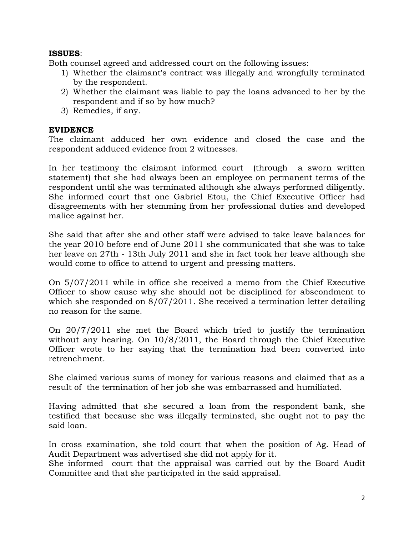#### **ISSUES**:

Both counsel agreed and addressed court on the following issues:

- 1) Whether the claimant's contract was illegally and wrongfully terminated by the respondent.
- 2) Whether the claimant was liable to pay the loans advanced to her by the respondent and if so by how much?
- 3) Remedies, if any.

#### **EVIDENCE**

The claimant adduced her own evidence and closed the case and the respondent adduced evidence from 2 witnesses.

In her testimony the claimant informed court (through a sworn written statement) that she had always been an employee on permanent terms of the respondent until she was terminated although she always performed diligently. She informed court that one Gabriel Etou, the Chief Executive Officer had disagreements with her stemming from her professional duties and developed malice against her.

She said that after she and other staff were advised to take leave balances for the year 2010 before end of June 2011 she communicated that she was to take her leave on 27th - 13th July 2011 and she in fact took her leave although she would come to office to attend to urgent and pressing matters.

On 5/07/2011 while in office she received a memo from the Chief Executive Officer to show cause why she should not be disciplined for abscondment to which she responded on 8/07/2011. She received a termination letter detailing no reason for the same.

On 20/7/2011 she met the Board which tried to justify the termination without any hearing. On  $10/8/2011$ , the Board through the Chief Executive Officer wrote to her saying that the termination had been converted into retrenchment.

She claimed various sums of money for various reasons and claimed that as a result of the termination of her job she was embarrassed and humiliated.

Having admitted that she secured a loan from the respondent bank, she testified that because she was illegally terminated, she ought not to pay the said loan.

In cross examination, she told court that when the position of Ag. Head of Audit Department was advertised she did not apply for it.

She informed court that the appraisal was carried out by the Board Audit Committee and that she participated in the said appraisal.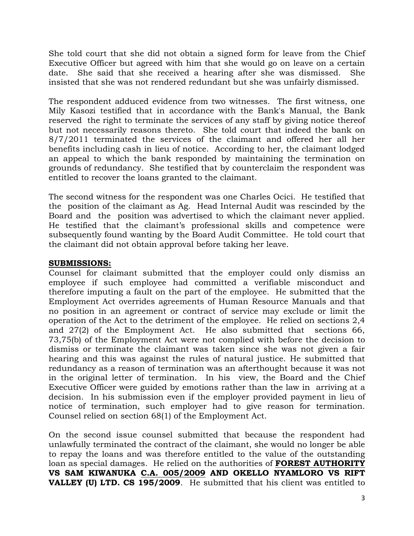She told court that she did not obtain a signed form for leave from the Chief Executive Officer but agreed with him that she would go on leave on a certain date. She said that she received a hearing after she was dismissed. She insisted that she was not rendered redundant but she was unfairly dismissed.

The respondent adduced evidence from two witnesses. The first witness, one Mily Kasozi testified that in accordance with the Bank's Manual, the Bank reserved the right to terminate the services of any staff by giving notice thereof but not necessarily reasons thereto. She told court that indeed the bank on 8/7/2011 terminated the services of the claimant and offered her all her benefits including cash in lieu of notice. According to her, the claimant lodged an appeal to which the bank responded by maintaining the termination on grounds of redundancy. She testified that by counterclaim the respondent was entitled to recover the loans granted to the claimant.

The second witness for the respondent was one Charles Ocici. He testified that the position of the claimant as Ag. Head Internal Audit was rescinded by the Board and the position was advertised to which the claimant never applied. He testified that the claimant's professional skills and competence were subsequently found wanting by the Board Audit Committee. He told court that the claimant did not obtain approval before taking her leave.

# **SUBMISSIONS:**

Counsel for claimant submitted that the employer could only dismiss an employee if such employee had committed a verifiable misconduct and therefore imputing a fault on the part of the employee. He submitted that the Employment Act overrides agreements of Human Resource Manuals and that no position in an agreement or contract of service may exclude or limit the operation of the Act to the detriment of the employee. He relied on sections 2,4 and 27(2) of the Employment Act. He also submitted that sections 66, 73,75(b) of the Employment Act were not complied with before the decision to dismiss or terminate the claimant was taken since she was not given a fair hearing and this was against the rules of natural justice. He submitted that redundancy as a reason of termination was an afterthought because it was not in the original letter of termination. In his view, the Board and the Chief Executive Officer were guided by emotions rather than the law in arriving at a decision. In his submission even if the employer provided payment in lieu of notice of termination, such employer had to give reason for termination. Counsel relied on section 68(1) of the Employment Act.

On the second issue counsel submitted that because the respondent had unlawfully terminated the contract of the claimant, she would no longer be able to repay the loans and was therefore entitled to the value of the outstanding loan as special damages. He relied on the authorities of **FOREST AUTHORITY VS SAM KIWANUKA C.A. 005/2009 AND OKELLO NYAMLORO VS RIFT VALLEY (U) LTD. CS 195/2009**.He submitted that his client was entitled to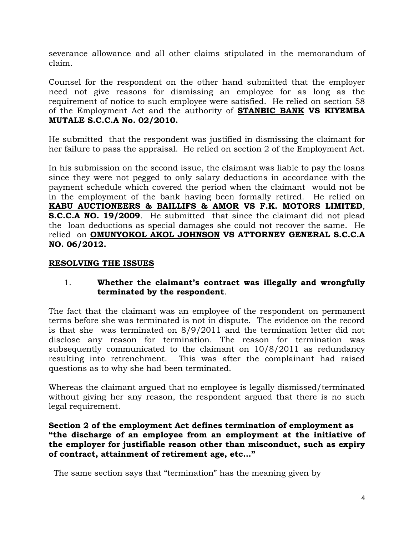severance allowance and all other claims stipulated in the memorandum of claim.

Counsel for the respondent on the other hand submitted that the employer need not give reasons for dismissing an employee for as long as the requirement of notice to such employee were satisfied. He relied on section 58 of the Employment Act and the authority of **STANBIC BANK VS KIYEMBA MUTALE S.C.C.A No. 02/2010.**

He submitted that the respondent was justified in dismissing the claimant for her failure to pass the appraisal. He relied on section 2 of the Employment Act.

In his submission on the second issue, the claimant was liable to pay the loans since they were not pegged to only salary deductions in accordance with the payment schedule which covered the period when the claimant would not be in the employment of the bank having been formally retired. He relied on **KABU AUCTIONEERS & BAILLIFS & AMOR VS F.K. MOTORS LIMITED**, **S.C.C.A NO. 19/2009**. He submitted that since the claimant did not plead the loan deductions as special damages she could not recover the same. He relied on **OMUNYOKOL AKOL JOHNSON VS ATTORNEY GENERAL S.C.C.A NO. 06/2012.**

# **RESOLVING THE ISSUES**

# 1. **Whether the claimant's contract was illegally and wrongfully terminated by the respondent**.

The fact that the claimant was an employee of the respondent on permanent terms before she was terminated is not in dispute. The evidence on the record is that she was terminated on 8/9/2011 and the termination letter did not disclose any reason for termination. The reason for termination was subsequently communicated to the claimant on 10/8/2011 as redundancy resulting into retrenchment. This was after the complainant had raised questions as to why she had been terminated.

Whereas the claimant argued that no employee is legally dismissed/terminated without giving her any reason, the respondent argued that there is no such legal requirement.

#### **Section 2 of the employment Act defines termination of employment as "the discharge of an employee from an employment at the initiative of the employer for justifiable reason other than misconduct, such as expiry of contract, attainment of retirement age, etc…"**

The same section says that "termination" has the meaning given by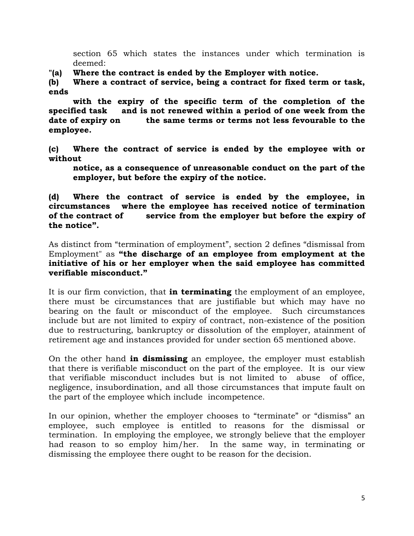section 65 which states the instances under which termination is deemed:

**"(a) Where the contract is ended by the Employer with notice.**

**(b) Where a contract of service, being a contract for fixed term or task, ends** 

**with the expiry of the specific term of the completion of the specified task and is not renewed within a period of one week from the date of expiry on the same terms or terms not less fevourable to the employee.**

**(c) Where the contract of service is ended by the employee with or without** 

**notice, as a consequence of unreasonable conduct on the part of the employer, but before the expiry of the notice.**

**(d) Where the contract of service is ended by the employee, in circumstances where the employee has received notice of termination of the contract of service from the employer but before the expiry of the notice".**

As distinct from "termination of employment", section 2 defines "dismissal from Employment" as **"the discharge of an employee from employment at the initiative of his or her employer when the said employee has committed verifiable misconduct."**

It is our firm conviction, that **in terminating** the employment of an employee, there must be circumstances that are justifiable but which may have no bearing on the fault or misconduct of the employee. Such circumstances include but are not limited to expiry of contract, non-existence of the position due to restructuring, bankruptcy or dissolution of the employer, atainment of retirement age and instances provided for under section 65 mentioned above.

On the other hand **in dismissing** an employee, the employer must establish that there is verifiable misconduct on the part of the employee. It is our view that verifiable misconduct includes but is not limited to abuse of office, negligence, insubordination, and all those circumstances that impute fault on the part of the employee which include incompetence.

In our opinion, whether the employer chooses to "terminate" or "dismiss" an employee, such employee is entitled to reasons for the dismissal or termination. In employing the employee, we strongly believe that the employer had reason to so employ him/her. In the same way, in terminating or dismissing the employee there ought to be reason for the decision.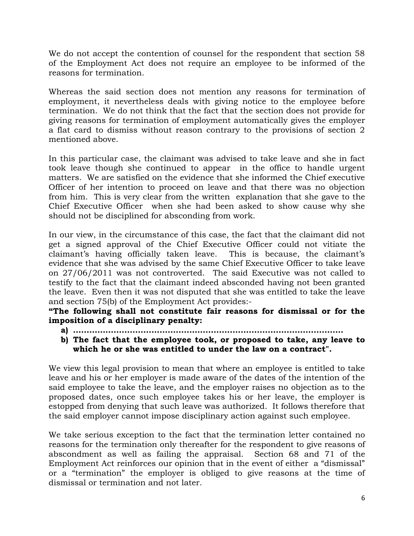We do not accept the contention of counsel for the respondent that section 58 of the Employment Act does not require an employee to be informed of the reasons for termination.

Whereas the said section does not mention any reasons for termination of employment, it nevertheless deals with giving notice to the employee before termination. We do not think that the fact that the section does not provide for giving reasons for termination of employment automatically gives the employer a flat card to dismiss without reason contrary to the provisions of section 2 mentioned above.

In this particular case, the claimant was advised to take leave and she in fact took leave though she continued to appear in the office to handle urgent matters. We are satisfied on the evidence that she informed the Chief executive Officer of her intention to proceed on leave and that there was no objection from him. This is very clear from the written explanation that she gave to the Chief Executive Officer when she had been asked to show cause why she should not be disciplined for absconding from work.

In our view, in the circumstance of this case, the fact that the claimant did not get a signed approval of the Chief Executive Officer could not vitiate the claimant's having officially taken leave. This is because, the claimant's evidence that she was advised by the same Chief Executive Officer to take leave on 27/06/2011 was not controverted. The said Executive was not called to testify to the fact that the claimant indeed absconded having not been granted the leave. Even then it was not disputed that she was entitled to take the leave and section 75(b) of the Employment Act provides:-

**"The following shall not constitute fair reasons for dismissal or for the imposition of a disciplinary penalty:**

- **a) ……………………………………………………………………………………….**
- **b) The fact that the employee took, or proposed to take, any leave to which he or she was entitled to under the law on a contract".**

We view this legal provision to mean that where an employee is entitled to take leave and his or her employer is made aware of the dates of the intention of the said employee to take the leave, and the employer raises no objection as to the proposed dates, once such employee takes his or her leave, the employer is estopped from denying that such leave was authorized. It follows therefore that the said employer cannot impose disciplinary action against such employee.

We take serious exception to the fact that the termination letter contained no reasons for the termination only thereafter for the respondent to give reasons of abscondment as well as failing the appraisal. Section 68 and 71 of the Employment Act reinforces our opinion that in the event of either a "dismissal" or a "termination" the employer is obliged to give reasons at the time of dismissal or termination and not later.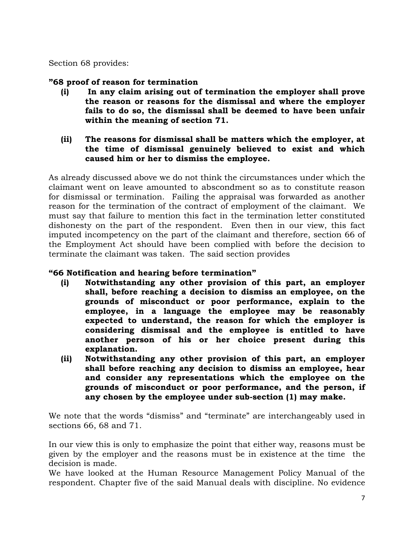Section 68 provides:

# **"68 proof of reason for termination**

- **(i) In any claim arising out of termination the employer shall prove the reason or reasons for the dismissal and where the employer fails to do so, the dismissal shall be deemed to have been unfair within the meaning of section 71.**
- **(ii) The reasons for dismissal shall be matters which the employer, at the time of dismissal genuinely believed to exist and which caused him or her to dismiss the employee.**

As already discussed above we do not think the circumstances under which the claimant went on leave amounted to abscondment so as to constitute reason for dismissal or termination. Failing the appraisal was forwarded as another reason for the termination of the contract of employment of the claimant. We must say that failure to mention this fact in the termination letter constituted dishonesty on the part of the respondent. Even then in our view, this fact imputed incompetency on the part of the claimant and therefore, section 66 of the Employment Act should have been complied with before the decision to terminate the claimant was taken. The said section provides

# **"66 Notification and hearing before termination"**

- **(i) Notwithstanding any other provision of this part, an employer shall, before reaching a decision to dismiss an employee, on the grounds of misconduct or poor performance, explain to the employee, in a language the employee may be reasonably expected to understand, the reason for which the employer is considering dismissal and the employee is entitled to have another person of his or her choice present during this explanation.**
- **(ii) Notwithstanding any other provision of this part, an employer shall before reaching any decision to dismiss an employee, hear and consider any representations which the employee on the grounds of misconduct or poor performance, and the person, if any chosen by the employee under sub-section (1) may make.**

We note that the words "dismiss" and "terminate" are interchangeably used in sections 66, 68 and 71.

In our view this is only to emphasize the point that either way, reasons must be given by the employer and the reasons must be in existence at the time the decision is made.

We have looked at the Human Resource Management Policy Manual of the respondent. Chapter five of the said Manual deals with discipline. No evidence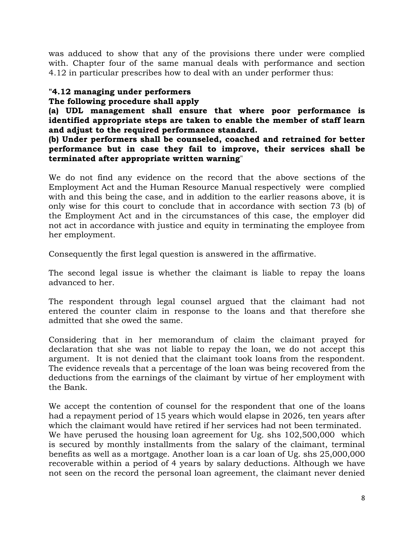was adduced to show that any of the provisions there under were complied with. Chapter four of the same manual deals with performance and section 4.12 in particular prescribes how to deal with an under performer thus:

# **"4.12 managing under performers**

# **The following procedure shall apply**

**(a) UDL management shall ensure that where poor performance is identified appropriate steps are taken to enable the member of staff learn and adjust to the required performance standard.**

**(b) Under performers shall be counseled, coached and retrained for better performance but in case they fail to improve, their services shall be terminated after appropriate written warning**"

We do not find any evidence on the record that the above sections of the Employment Act and the Human Resource Manual respectively were complied with and this being the case, and in addition to the earlier reasons above, it is only wise for this court to conclude that in accordance with section 73 (b) of the Employment Act and in the circumstances of this case, the employer did not act in accordance with justice and equity in terminating the employee from her employment.

Consequently the first legal question is answered in the affirmative.

The second legal issue is whether the claimant is liable to repay the loans advanced to her.

The respondent through legal counsel argued that the claimant had not entered the counter claim in response to the loans and that therefore she admitted that she owed the same.

Considering that in her memorandum of claim the claimant prayed for declaration that she was not liable to repay the loan, we do not accept this argument. It is not denied that the claimant took loans from the respondent. The evidence reveals that a percentage of the loan was being recovered from the deductions from the earnings of the claimant by virtue of her employment with the Bank.

We accept the contention of counsel for the respondent that one of the loans had a repayment period of 15 years which would elapse in 2026, ten years after which the claimant would have retired if her services had not been terminated. We have perused the housing loan agreement for Ug. shs  $102,500,000$  which is secured by monthly installments from the salary of the claimant, terminal benefits as well as a mortgage. Another loan is a car loan of Ug. shs 25,000,000 recoverable within a period of 4 years by salary deductions. Although we have not seen on the record the personal loan agreement, the claimant never denied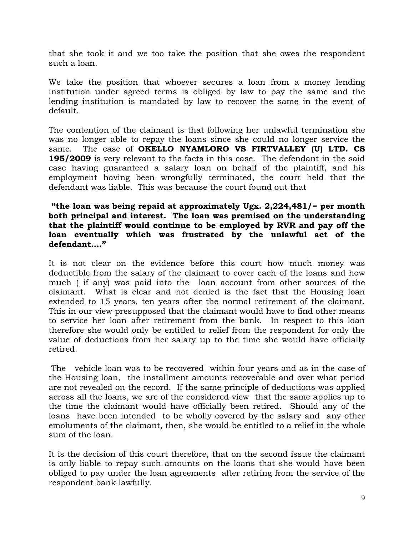that she took it and we too take the position that she owes the respondent such a loan.

We take the position that whoever secures a loan from a money lending institution under agreed terms is obliged by law to pay the same and the lending institution is mandated by law to recover the same in the event of default.

The contention of the claimant is that following her unlawful termination she was no longer able to repay the loans since she could no longer service the same. The case of **OKELLO NYAMLORO VS FIRTVALLEY (U) LTD. CS 195/2009** is very relevant to the facts in this case. The defendant in the said case having guaranteed a salary loan on behalf of the plaintiff, and his employment having been wrongfully terminated, the court held that the defendant was liable. This was because the court found out that

#### **"the loan was being repaid at approximately Ugx. 2,224,481/= per month both principal and interest. The loan was premised on the understanding that the plaintiff would continue to be employed by RVR and pay off the loan eventually which was frustrated by the unlawful act of the defendant…."**

It is not clear on the evidence before this court how much money was deductible from the salary of the claimant to cover each of the loans and how much ( if any) was paid into the loan account from other sources of the claimant. What is clear and not denied is the fact that the Housing loan extended to 15 years, ten years after the normal retirement of the claimant. This in our view presupposed that the claimant would have to find other means to service her loan after retirement from the bank. In respect to this loan therefore she would only be entitled to relief from the respondent for only the value of deductions from her salary up to the time she would have officially retired.

The vehicle loan was to be recovered within four years and as in the case of the Housing loan, the installment amounts recoverable and over what period are not revealed on the record. If the same principle of deductions was applied across all the loans, we are of the considered view that the same applies up to the time the claimant would have officially been retired. Should any of the loans have been intended to be wholly covered by the salary and any other emoluments of the claimant, then, she would be entitled to a relief in the whole sum of the loan.

It is the decision of this court therefore, that on the second issue the claimant is only liable to repay such amounts on the loans that she would have been obliged to pay under the loan agreements after retiring from the service of the respondent bank lawfully.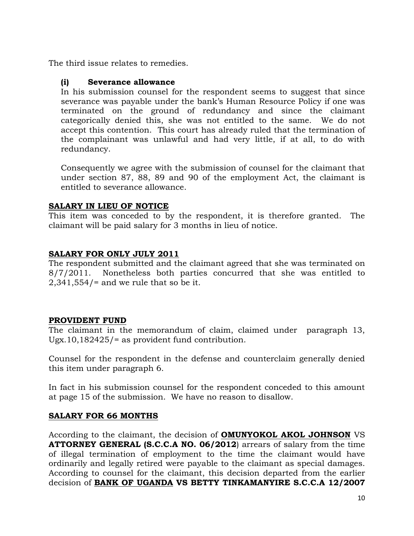The third issue relates to remedies.

#### **(i) Severance allowance**

In his submission counsel for the respondent seems to suggest that since severance was payable under the bank's Human Resource Policy if one was terminated on the ground of redundancy and since the claimant categorically denied this, she was not entitled to the same. We do not accept this contention. This court has already ruled that the termination of the complainant was unlawful and had very little, if at all, to do with redundancy.

Consequently we agree with the submission of counsel for the claimant that under section 87, 88, 89 and 90 of the employment Act, the claimant is entitled to severance allowance.

# **SALARY IN LIEU OF NOTICE**

This item was conceded to by the respondent, it is therefore granted. The claimant will be paid salary for 3 months in lieu of notice.

# **SALARY FOR ONLY JULY 2011**

The respondent submitted and the claimant agreed that she was terminated on 8/7/2011. Nonetheless both parties concurred that she was entitled to  $2,341,554$  = and we rule that so be it.

#### **PROVIDENT FUND**

The claimant in the memorandum of claim, claimed under paragraph 13, Ugx.10,182425/= as provident fund contribution.

Counsel for the respondent in the defense and counterclaim generally denied this item under paragraph 6.

In fact in his submission counsel for the respondent conceded to this amount at page 15 of the submission. We have no reason to disallow.

# **SALARY FOR 66 MONTHS**

According to the claimant, the decision of **OMUNYOKOL AKOL JOHNSON** VS **ATTORNEY GENERAL (S.C.C.A NO. 06/2012**) arrears of salary from the time of illegal termination of employment to the time the claimant would have ordinarily and legally retired were payable to the claimant as special damages. According to counsel for the claimant, this decision departed from the earlier decision of **BANK OF UGANDA VS BETTY TINKAMANYIRE S.C.C.A 12/2007**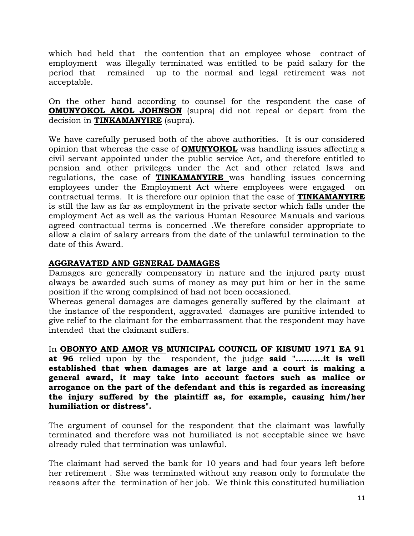which had held that the contention that an employee whose contract of employment was illegally terminated was entitled to be paid salary for the period that remained up to the normal and legal retirement was not acceptable.

On the other hand according to counsel for the respondent the case of **OMUNYOKOL AKOL JOHNSON** (supra) did not repeal or depart from the decision in **TINKAMANYIRE** (supra).

We have carefully perused both of the above authorities. It is our considered opinion that whereas the case of **OMUNYOKOL** was handling issues affecting a civil servant appointed under the public service Act, and therefore entitled to pension and other privileges under the Act and other related laws and regulations, the case of **TINKAMANYIRE** was handling issues concerning employees under the Employment Act where employees were engaged on contractual terms. It is therefore our opinion that the case of **TINKAMANYIRE** is still the law as far as employment in the private sector which falls under the employment Act as well as the various Human Resource Manuals and various agreed contractual terms is concerned .We therefore consider appropriate to allow a claim of salary arrears from the date of the unlawful termination to the date of this Award.

# **AGGRAVATED AND GENERAL DAMAGES**

Damages are generally compensatory in nature and the injured party must always be awarded such sums of money as may put him or her in the same position if the wrong complained of had not been occasioned.

Whereas general damages are damages generally suffered by the claimant at the instance of the respondent, aggravated damages are punitive intended to give relief to the claimant for the embarrassment that the respondent may have intended that the claimant suffers.

In **OBONYO AND AMOR VS MUNICIPAL COUNCIL OF KISUMU 1971 EA 91 at 96** relied upon by the respondent, the judge **said "..........it is well established that when damages are at large and a court is making a general award, it may take into account factors such as malice or arrogance on the part of the defendant and this is regarded as increasing the injury suffered by the plaintiff as, for example, causing him/her humiliation or distress".**

The argument of counsel for the respondent that the claimant was lawfully terminated and therefore was not humiliated is not acceptable since we have already ruled that termination was unlawful.

The claimant had served the bank for 10 years and had four years left before her retirement . She was terminated without any reason only to formulate the reasons after the termination of her job. We think this constituted humiliation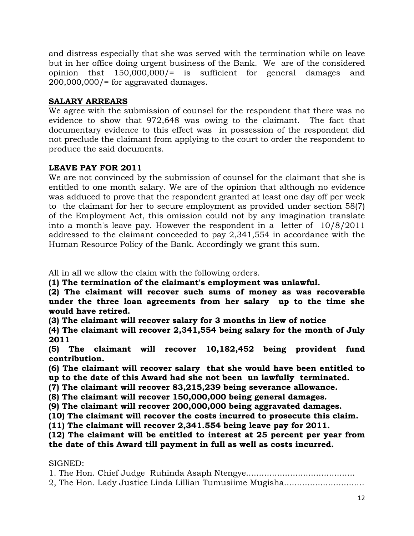and distress especially that she was served with the termination while on leave but in her office doing urgent business of the Bank. We are of the considered opinion that 150,000,000/= is sufficient for general damages and  $200,000,000/$ = for aggravated damages.

# **SALARY ARREARS**

We agree with the submission of counsel for the respondent that there was no evidence to show that 972,648 was owing to the claimant. The fact that documentary evidence to this effect was in possession of the respondent did not preclude the claimant from applying to the court to order the respondent to produce the said documents.

# **LEAVE PAY FOR 2011**

We are not convinced by the submission of counsel for the claimant that she is entitled to one month salary. We are of the opinion that although no evidence was adduced to prove that the respondent granted at least one day off per week to the claimant for her to secure employment as provided under section 58(7) of the Employment Act, this omission could not by any imagination translate into a month's leave pay. However the respondent in a letter of 10/8/2011 addressed to the claimant conceeded to pay 2,341,554 in accordance with the Human Resource Policy of the Bank. Accordingly we grant this sum.

All in all we allow the claim with the following orders.

**(1) The termination of the claimant's employment was unlawful.**

**(2) The claimant will recover such sums of money as was recoverable under the three loan agreements from her salary up to the time she would have retired.**

**(3) The claimant will recover salary for 3 months in liew of notice**

**(4) The claimant will recover 2,341,554 being salary for the month of July 2011**

**(5) The claimant will recover 10,182,452 being provident fund contribution.**

**(6) The claimant will recover salary that she would have been entitled to up to the date of this Award had she not been un lawfully terminated.**

**(7) The claimant will recover 83,215,239 being severance allowance.**

**(8) The claimant will recover 150,000,000 being general damages.**

**(9) The claimant will recover 200,000,000 being aggravated damages.**

**(10) The claimant will recover the costs incurred to prosecute this claim.**

**(11) The claimant will recover 2,341.554 being leave pay for 2011.**

**(12) The claimant will be entitled to interest at 25 percent per year from the date of this Award till payment in full as well as costs incurred.**

#### SIGNED:

1. The Hon. Chief Judge Ruhinda Asaph Ntengye.......................................... 2, The Hon. Lady Justice Linda Lillian Tumusiime Mugisha...............................